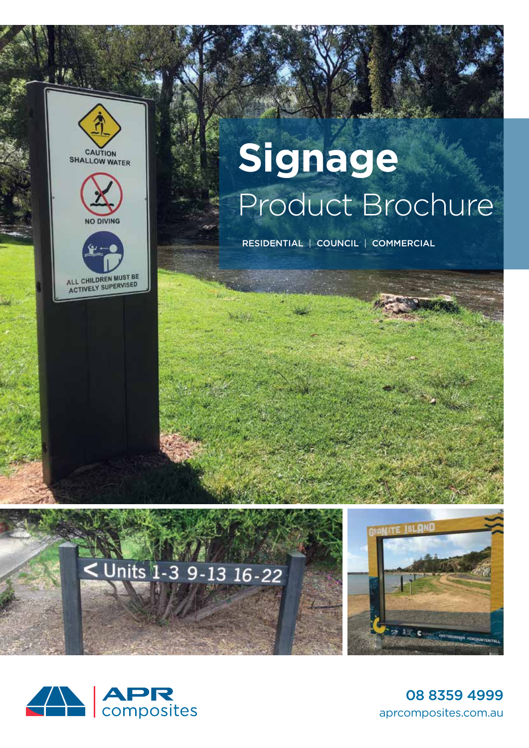

## **Signage** Product Brochure

RESIDENTIAL | COUNCIL | COMMERCIAL







08 8359 4999 aprcomposites.com.au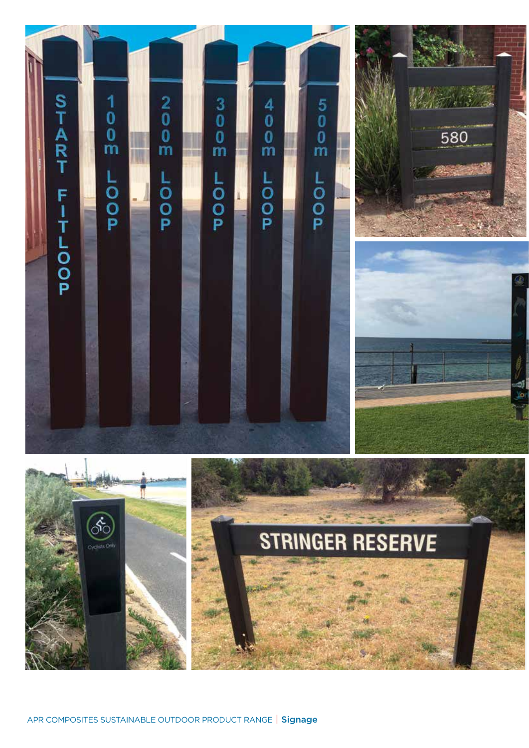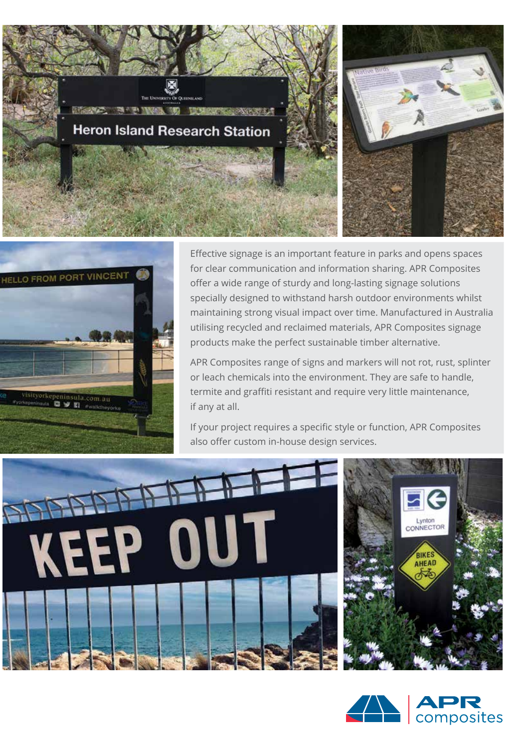



Effective signage is an important feature in parks and opens spaces for clear communication and information sharing. APR Composites offer a wide range of sturdy and long-lasting signage solutions specially designed to withstand harsh outdoor environments whilst maintaining strong visual impact over time. Manufactured in Australia utilising recycled and reclaimed materials, APR Composites signage products make the perfect sustainable timber alternative.

APR Composites range of signs and markers will not rot, rust, splinter or leach chemicals into the environment. They are safe to handle, termite and graffiti resistant and require very little maintenance, if any at all.

If your project requires a specific style or function, APR Composites also offer custom in-house design services.